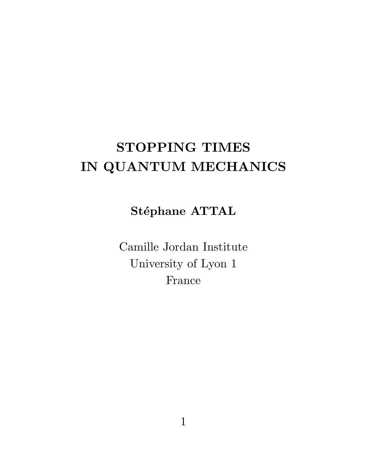# STOPPING TIMES IN QUANTUM MECHANICS

#### Stéphane ATTAL

Camille Jordan Institute University of Lyon 1 France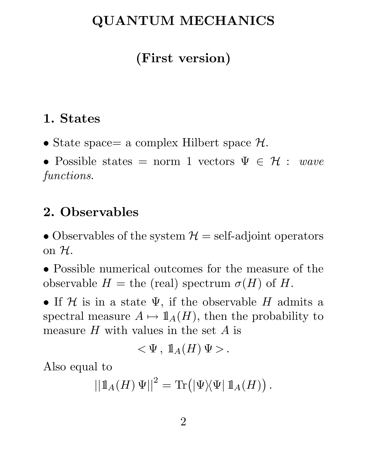### QUANTUM MECHANICS

# (First version)

### 1. States

• State space= a complex Hilbert space  $\mathcal{H}$ .

• Possible states = norm 1 vectors  $\Psi \in \mathcal{H}$  : wave functions.

### 2. Observables

• Observables of the system  $\mathcal{H} =$  self-adjoint operators on  $H$ .

• Possible numerical outcomes for the measure of the observable  $H =$  the (real) spectrum  $\sigma(H)$  of H.

• If  $\mathcal H$  is in a state  $\Psi$ , if the observable H admits a spectral measure  $A \mapsto 1\mathbb{1}_A(H)$ , then the probability to measure  $H$  with values in the set  $A$  is

$$
<\Psi\,,\; 1\!\!1_A(H)\,\Psi>.
$$

Also equal to

$$
\left|\left|\mathbb{1}_A(H)\,\Psi\right|\right|^2=\mathrm{Tr}\big(\left|\Psi\right\rangle\!\!\left\langle\Psi\right|\mathbb{1}_A(H)\big).
$$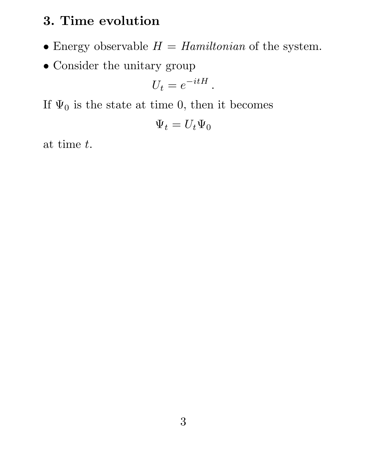### 3. Time evolution

- Energy observable  $H = Hamiltonian$  of the system.
- Consider the unitary group

$$
U_t = e^{-itH}.
$$

If  $\Psi_0$  is the state at time 0, then it becomes

$$
\Psi_t = U_t \Psi_0
$$

at time t.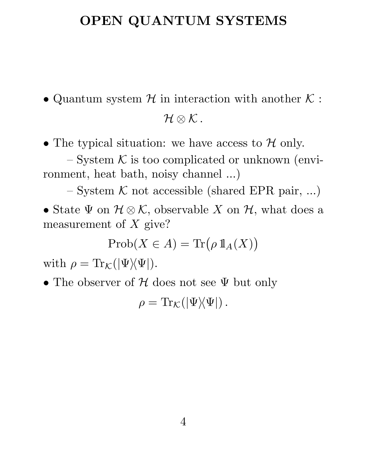### OPEN QUANTUM SYSTEMS

• Quantum system  $\mathcal H$  in interaction with another  $\mathcal K$ :  $\mathcal{H}\otimes\mathcal{K}$ .

• The typical situation: we have access to  $H$  only.

 $-$  System  $K$  is too complicated or unknown (environment, heat bath, noisy channel ...)

– System  $K$  not accessible (shared EPR pair, ...)

• State  $\Psi$  on  $\mathcal{H} \otimes \mathcal{K}$ , observable X on  $\mathcal{H}$ , what does a measurement of  $X$  give?

$$
\mathrm{Prob}(X \in A) = \mathrm{Tr}\big(\rho \, \mathbb{1}_A(X)\big)
$$

with  $\rho = \text{Tr}_{\mathcal{K}}(|\Psi\rangle\langle\Psi|).$ 

• The observer of  $H$  does not see  $\Psi$  but only

 $\rho = \text{Tr}_{\mathcal{K}}(|\Psi\rangle\langle\Psi|)$ .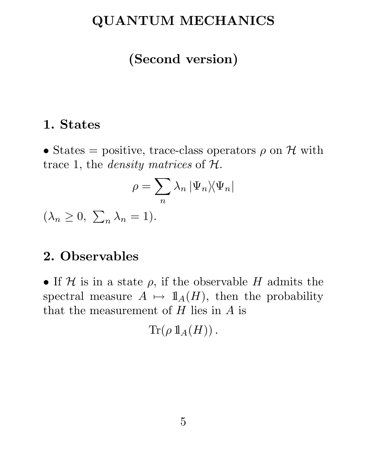### QUANTUM MECHANICS

### (Second version)

#### 1. States

• States = positive, trace-class operators  $\rho$  on H with trace 1, the *density matrices* of  $H$ .

$$
\rho = \sum_n \lambda_n \, |\Psi_n\rangle\!\langle\Psi_n|
$$

 $(\lambda_n \geq 0, \sum)$  $_n \lambda_n = 1$ ).

#### 2. Observables

• If  $H$  is in a state  $\rho$ , if the observable H admits the spectral measure  $A \mapsto 1\!\!1_A(H)$ , then the probability that the measurement of  $H$  lies in  $A$  is

 $\text{Tr}(\rho 1\!\!1_A(H))$ .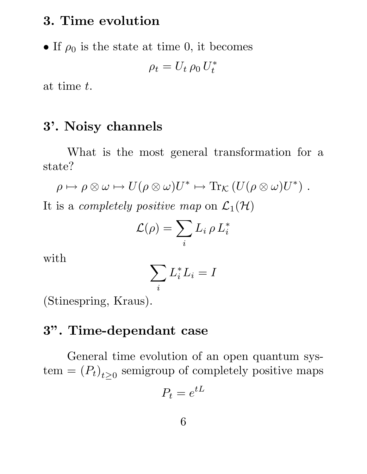#### 3. Time evolution

• If  $\rho_0$  is the state at time 0, it becomes

$$
\rho_t = U_t \,\rho_0 \, U_t^*
$$

at time t.

#### 3'. Noisy channels

What is the most general transformation for a state?

$$
\rho \mapsto \rho \otimes \omega \mapsto U(\rho \otimes \omega)U^* \mapsto \text{Tr}_{\mathcal{K}}\left(U(\rho \otimes \omega)U^*\right).
$$

It is a *completely positive map* on  $\mathcal{L}_1(\mathcal{H})$ 

$$
\mathcal{L}(\rho) = \sum_i L_i \, \rho \, L_i^*
$$

with

$$
\sum_i L_i^* L_i = I
$$

(Stinespring, Kraus).

#### 3". Time-dependant case

General time evolution of an open quantum sys- $\text{tem} = (P_t)_{t \geq 0}$  semigroup of completely positive maps

$$
P_t = e^{tL}
$$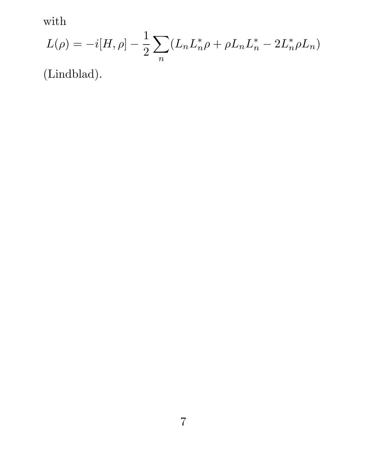with

$$
L(\rho) = -i[H, \rho] - \frac{1}{2} \sum_{n} (L_n L_n^* \rho + \rho L_n L_n^* - 2L_n^* \rho L_n)
$$

(Lindblad).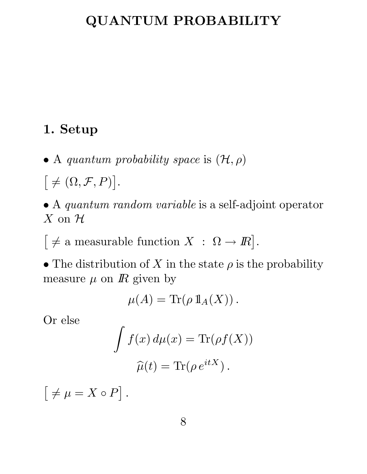### QUANTUM PROBABILITY

#### 1. Setup

• A quantum probability space is  $(\mathcal{H}, \rho)$ 

 $\lceil \neq (\Omega, \mathcal{F}, P) \rceil$ .

- A quantum random variable is a self-adjoint operator  $X$  on  $H$
- $\big[\neq$  a measurable function  $X : \Omega \to \mathbb{R}\big]$ .

• The distribution of X in the state  $\rho$  is the probability measure  $\mu$  on  $\bar{R}$  given by

$$
\mu(A) = \text{Tr}(\rho \, 1\!\!1_A(X)).
$$

Or else

$$
\int f(x) d\mu(x) = \text{Tr}(\rho f(X))
$$

$$
\widehat{\mu}(t) = \text{Tr}(\rho e^{itX}).
$$

 $\lceil \neq \mu = X \circ P \rceil$ .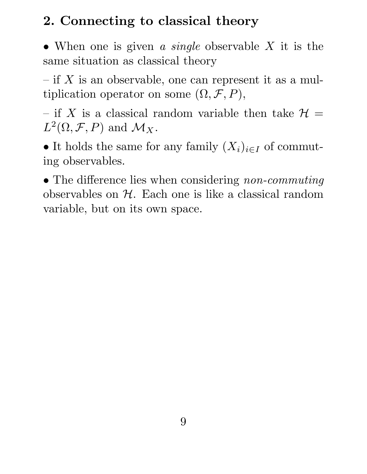# 2. Connecting to classical theory

• When one is given a single observable  $X$  it is the same situation as classical theory

 $-$  if X is an observable, one can represent it as a multiplication operator on some  $(\Omega, \mathcal{F}, P)$ ,

– if X is a classical random variable then take  $\mathcal{H} =$  $L^2(\Omega, \mathcal{F}, P)$  and  $\mathcal{M}_X$ .

• It holds the same for any family  $(X_i)_{i\in I}$  of commuting observables.

• The difference lies when considering *non-commuting* observables on  $H$ . Each one is like a classical random variable, but on its own space.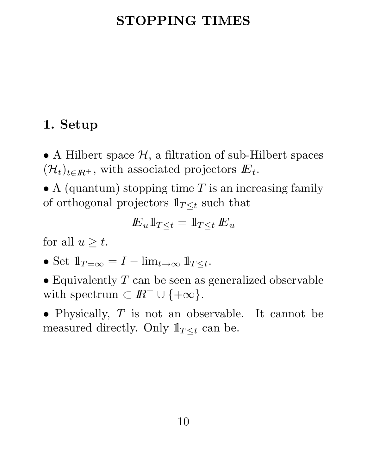### STOPPING TIMES

### 1. Setup

• A Hilbert space  $H$ , a filtration of sub-Hilbert spaces  $(\mathcal{H}_t)_{t\in I\!\!R^+}$ , with associated projectors  $E_t$ .

• A (quantum) stopping time  $T$  is an increasing family of orthogonal projectors  $1\!\!1_{T\leq t}$  such that

$$
{I\!\! E}_u 1\hspace{-0.05cm}1_{T\leq t}=1\hspace{-0.05cm}1_{T\leq t}\, {I\!\! E}_u
$$

for all  $u \geq t$ .

- Set  $1\!\!1_{T=\infty} = I \lim_{t\to\infty} 1\!\!1_{T\leq t}$ .
- Equivalently  $T$  can be seen as generalized observable with spectrum  $\subset \mathbb{R}^+ \cup \{+\infty\}.$
- Physically,  $T$  is not an observable. It cannot be measured directly. Only  $1\!\!1_{T\leq t}$  can be.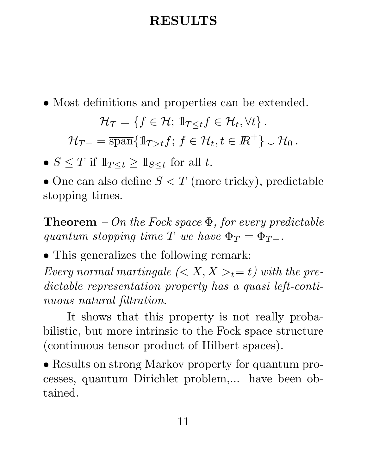### RESULTS

• Most definitions and properties can be extended.

$$
\mathcal{H}_T = \{ f \in \mathcal{H}; \, 1\! \underline{\tau}_{\leq t} f \in \mathcal{H}_t, \forall t \} \, .
$$

 $\mathcal{H}_{T-} = \overline{\text{span}} \{ \mathbb{1}_{T>t} f; f \in \mathcal{H}_t, t \in \mathbb{R}^+ \} \cup \mathcal{H}_0.$ 

•  $S \leq T$  if  $1\!\!1_{T \leq t} \geq 1\!\!1_{S \leq t}$  for all t.

• One can also define  $S < T$  (more tricky), predictable stopping times.

**Theorem** – On the Fock space  $\Phi$ , for every predictable quantum stopping time T we have  $\Phi_T = \Phi_{T-}$ .

• This generalizes the following remark:

Every normal martingale  $\left\langle \langle X, X \rangle_t = t \right\rangle$  with the predictable representation property has a quasi left-continuous natural filtration.

It shows that this property is not really probabilistic, but more intrinsic to the Fock space structure (continuous tensor product of Hilbert spaces).

• Results on strong Markov property for quantum processes, quantum Dirichlet problem,... have been obtained.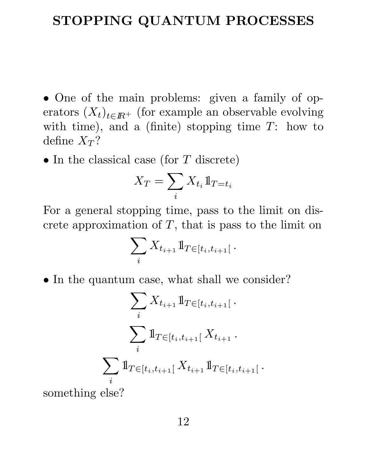#### STOPPING QUANTUM PROCESSES

• One of the main problems: given a family of operators  $(X_t)_{t\in\mathbb{R}^+}$  (for example an observable evolving with time), and a (finite) stopping time  $T$ : how to define  $X_T$ ?

• In the classical case (for  $T$  discrete)

$$
X_T = \sum_i X_{t_i} \mathbb{1}_{T = t_i}
$$

For a general stopping time, pass to the limit on discrete approximation of  $T$ , that is pass to the limit on

$$
\sum_i X_{t_{i+1}} 1\!\!1_{T \in [t_i, t_{i+1}[}.
$$

• In the quantum case, what shall we consider?

$$
\sum_{i} X_{t_{i+1}} \mathbb{1}_{T \in [t_i, t_{i+1}[} \cdot
$$
\n
$$
\sum_{i} \mathbb{1}_{T \in [t_i, t_{i+1}[} X_{t_{i+1}} \cdot
$$
\n
$$
\sum_{i} \mathbb{1}_{T \in [t_i, t_{i+1}[} X_{t_{i+1}} \mathbb{1}_{T \in [t_i, t_{i+1}[} \cdot
$$

something else?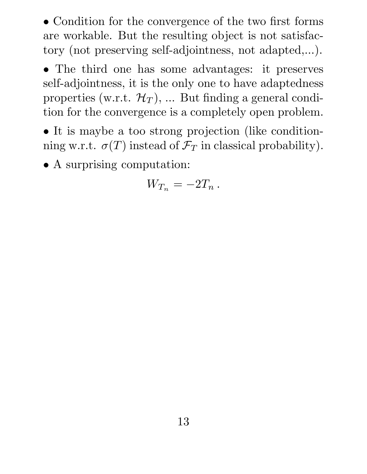• Condition for the convergence of the two first forms are workable. But the resulting object is not satisfactory (not preserving self-adjointness, not adapted,...).

• The third one has some advantages: it preserves self-adjointness, it is the only one to have adaptedness properties (w.r.t.  $\mathcal{H}_T$ ), ... But finding a general condition for the convergence is a completely open problem.

• It is maybe a too strong projection (like conditionning w.r.t.  $\sigma(T)$  instead of  $\mathcal{F}_T$  in classical probability).

• A surprising computation:

$$
W_{T_n} = -2T_n \, .
$$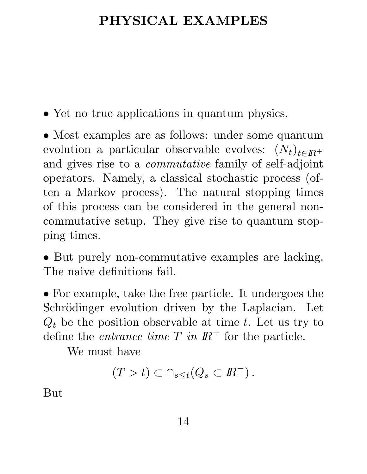### PHYSICAL EXAMPLES

• Yet no true applications in quantum physics.

• Most examples are as follows: under some quantum evolution a particular observable evolves:  $(N_t)_{t \in I\!R^+}$ and gives rise to a commutative family of self-adjoint operators. Namely, a classical stochastic process (often a Markov process). The natural stopping times of this process can be considered in the general noncommutative setup. They give rise to quantum stopping times.

• But purely non-commutative examples are lacking. The naive definitions fail.

• For example, take the free particle. It undergoes the Schrödinger evolution driven by the Laplacian. Let  $Q_t$  be the position observable at time t. Let us try to define the *entrance time*  $T$  in  $\mathbb{R}^+$  for the particle.

We must have

$$
(T > t) \subset \cap_{s \leq t} (Q_s \subset I\!\!R^-).
$$

But